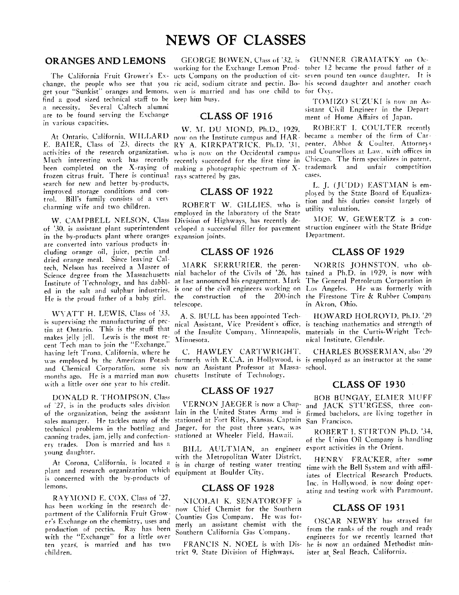# **NEWS** OF **CLASSES**

# **ORANGES AND LEMONS**

get your "Sunkist" oranges and lemons, wen is married and has one child to for Oxy. find a good sized technical staff to be keep him busy. a necessity. Several Caltech alumni are to be found serving the Exchange in various capacities.

E. BAIER, Class of <sup>23</sup>, directs the RY A. KIRKPATRICK, Ph.D. '31, penter, Abbot & Coulter, Attorneys activities of the research organization. who is now on the Occidental campus and Counsellors at Law, with offices in Much interesting work has recently been completed on the X-raying of frozen citrus fruit. There is continual rays scattered by gas. search for new and better by-products, improved storage conditions and control. Bill's family consists of a \ err charming wife and two children.

of **'30.** is assistant plant superintendent in the by-products plant where oranges expansion joints. Department. are converted into various products including orange oil, juice, pectin and dried orange meal. Since leaving GItech, Nelson has received a Master of Science degree from the Massachusetts Institute of Technology, and has dahbled in the salt and sulphur industries. He is the proud father of a baby girl.

WYATT H. LEWIS, Class of *'33*, is supervising the manufacturing of pectin at Ontario. This is the stuff that makes jelly jell. Lewis is the most remakes jetty jett. Lewis is the most re-<br>cent Tech man to join the "Exchange," having left Trona, California, where he months *ago.* He is a married man now chusetts Institute of Technology. with a little over one year to his credit.

DONALD R. THOMPSON, Class of  $27$ , is in the products sales division of the organization, being the assistant sales manager. He tackles many of the technical problems in the bottling and canning trades, jam, jelly and confectionery trades. Don is married and has a **<sup>J</sup>**oung daughter.

At Corona, California, is located a plant and research organization vihicli is concerned with the bv-products of lemons.

RAYMOND E. COX, Class of '27, has been working in the research department of the California Fruit Grower's Exchange on the chemistry, uses and production of pectin. Rav has been with the "Exchange" for a little over ten wears', is married and has two **i** hildren.

#### GEORGE BOWEN, Class of '32, is GUNNER GRAMATKY on Oc-

# **CLASS OF 1916**

W. M. DU MOND, Ph.D., 1929, At Ontario. California. WILLARD now on the Institute campus and HAR-

## **CLASS OF 1922**

ROBERT W. GILLIES, who is upon and his duties consist largely of employed in the laboratory of the State<br>Division of Highways, has recently de-<br>MOE W. GEWERTZ is a con-

telescope. in Akron, Ohio.

nical Assistant, Vice President's office, is teaching mathematics and strength of of the Insulite Company, Minneapolis, materials in the Curtis-Wright Tech-

and Chemical Corporation, some six now an Assistant Professor at Massa- school.

stationed at Fort Riley, Kansas. Captain San Francisco. Jaeger, for the past three years, was stationed at Wheeler Field, Hawaii. ROBERT I. STIRTON Ph.D. '34,

BILL AULTMAN, an engineer with the Metropolitan Water District, HENRY FRACKER, after some is in charge of testing water treating time with the Bell System and with offil. is in charge of testing water treating  $\frac{1}{2}$  time with the Bell System and with affile-<br>equipment at Boulder City.

### **CLASS OF 1928**

MCOLAI K. SENATOROFF is now Chief Chemist for the Southern Counties Gas Company. He was for-Counties Gas Company. He was formed that  $\frac{1}{2}$  OSCAR NEWBY has strayed farmerly an assistant chemist with the from the ranks of the rough and ready Southern California Gas Company.

trict 9. State Division of Highways.

The California Fruit Grower's Ex- ucts Company on the production of cit-seven pound ten ounce daughter. It is change, the people who see that you ric acid, sodium citrate and pectin. Bo- his second daughter and another coach norking for the Exchange Lemon Prod- toher 12 became the proud father of **i:** 

> TOMIZO SUZUKI is now an Assistant Civil Engineer in the Depart ment of Home Affairs of Japan.

ROBERT I. COULTER recently became a member of the firm of Carrecently succeeded for the first time in Chicago. The firm specializes in patent, making a photographic spectrum of X- trademark and unfair competition cases.

> L. J. (JUDD) EASTMAN is employed by the State Board of Equaliza-<br>tion and his duties consist largely of

W. CAMPBELL NELSON, Class Division of Highways, has recently de- MOE W. GEWERTZ is a construction engineer with the State Bridge<br>Department.

# **CLASS OF 1926 CLASS OF 1929**

MARK SKKRURIER, the peren- NOKRIS JOHNSTON, uho 017 nial bachelor of the Civils of '26, has tained a Ph.D. in 1929. is now with at last announced his engagement. Mark The General Petroleum Corporation in is one of the civil engineers working on Los Angeles. He was formerly with the construction of the 200-inch the Firestone Tire & Rubber Company 200-inch the Firestone Tire  $\&$  Rubber Company

A. S. HULL has been appointed Tech- HOWARD HOLROYD, Ph.D. *'29*  nical Institute, Glendale.

was employed by the American Potash formerly with R.C.A. in Hollywood, is is employed as an instructor at the same C. HAWLEY CARTWRIGHT. CFIARLES BOSSERNAN, also '29

# **CLASS OF 1927 CLASS OF 1930**

**BOB** BUNGAY, ELMER **MUFI:**  VERNON JAEGER is now a Chap- and JACK STURGESS, three con-<br>lain in the United States Army and is firmed bachelors, are living together in firmed bachelors, are living together in

of the Union Oil Company is handling<br>export activities in the Orient.

iates of Electrical Research Products. Inc. in Hollywood. is now doing operating and testing work with Paramount.

# **CLASS OF 1931**

eneineers for we recently learned that FRANCIS N. NOEL is with Dis- he is now an ordained Methodist min-<br>ict 9. State Division of Highways. ister at Seal Beach, California.